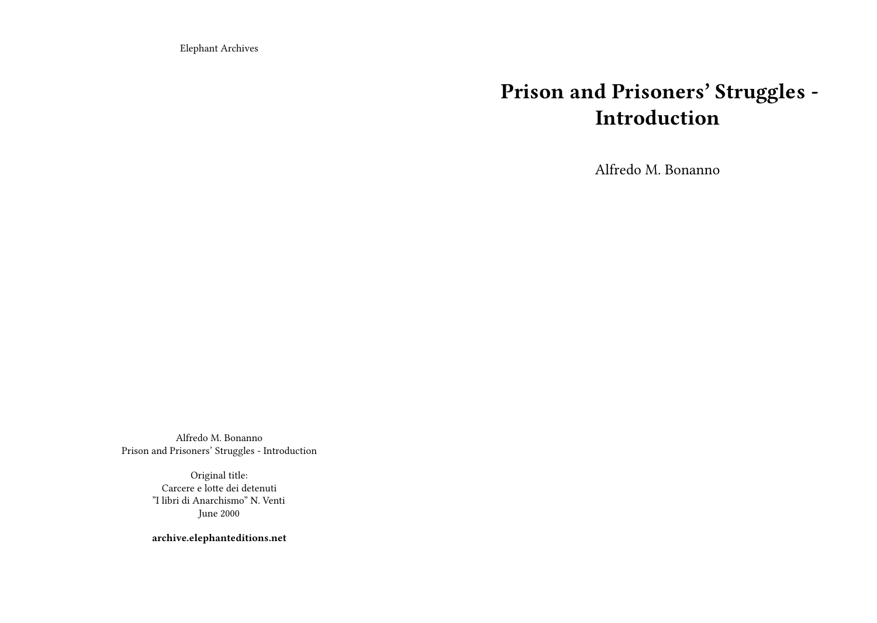Elephant Archives

## **Prison and Prisoners' Struggles - Introduction**

Alfredo M. Bonanno

Alfredo M. Bonanno Prison and Prisoners' Struggles - Introduction

> Original title: Carcere e lotte dei detenuti "I libri di Anarchismo" N. Venti June 2000

**archive.elephanteditions.net**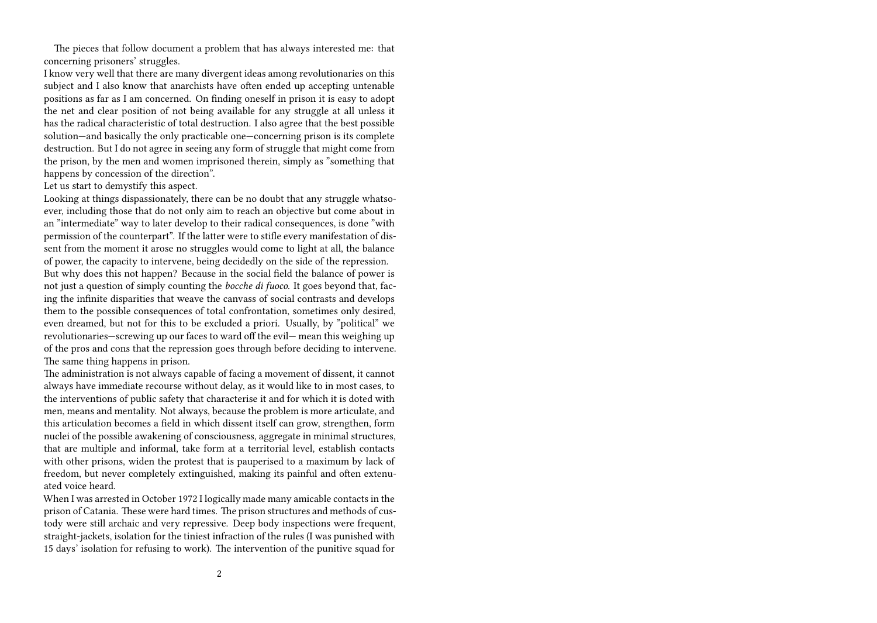The pieces that follow document a problem that has always interested me: that concerning prisoners' struggles.

I know very well that there are many divergent ideas among revolutionaries on this subject and I also know that anarchists have often ended up accepting untenable positions as far as I am concerned. On finding oneself in prison it is easy to adopt the net and clear position of not being available for any struggle at all unless it has the radical characteristic of total destruction. I also agree that the best possible solution—and basically the only practicable one—concerning prison is its complete destruction. But I do not agree in seeing any form of struggle that might come from the prison, by the men and women imprisoned therein, simply as "something that happens by concession of the direction".

## Let us start to demystify this aspect.

Looking at things dispassionately, there can be no doubt that any struggle whatsoever, including those that do not only aim to reach an objective but come about in an "intermediate" way to later develop to their radical consequences, is done "with permission of the counterpart". If the latter were to stifle every manifestation of dissent from the moment it arose no struggles would come to light at all, the balance of power, the capacity to intervene, being decidedly on the side of the repression. But why does this not happen? Because in the social field the balance of power is not just a question of simply counting the *bocche di fuoco*. It goes beyond that, facing the infinite disparities that weave the canvass of social contrasts and develops them to the possible consequences of total confrontation, sometimes only desired, even dreamed, but not for this to be excluded a priori. Usually, by "political" we revolutionaries—screwing up our faces to ward off the evil— mean this weighing up of the pros and cons that the repression goes through before deciding to intervene. The same thing happens in prison.

The administration is not always capable of facing a movement of dissent, it cannot always have immediate recourse without delay, as it would like to in most cases, to the interventions of public safety that characterise it and for which it is doted with men, means and mentality. Not always, because the problem is more articulate, and this articulation becomes a field in which dissent itself can grow, strengthen, form nuclei of the possible awakening of consciousness, aggregate in minimal structures, that are multiple and informal, take form at a territorial level, establish contacts with other prisons, widen the protest that is pauperised to a maximum by lack of freedom, but never completely extinguished, making its painful and often extenuated voice heard.

When I was arrested in October 1972 I logically made many amicable contacts in the prison of Catania. These were hard times. The prison structures and methods of custody were still archaic and very repressive. Deep body inspections were frequent, straight-jackets, isolation for the tiniest infraction of the rules (I was punished with 15 days' isolation for refusing to work). The intervention of the punitive squad for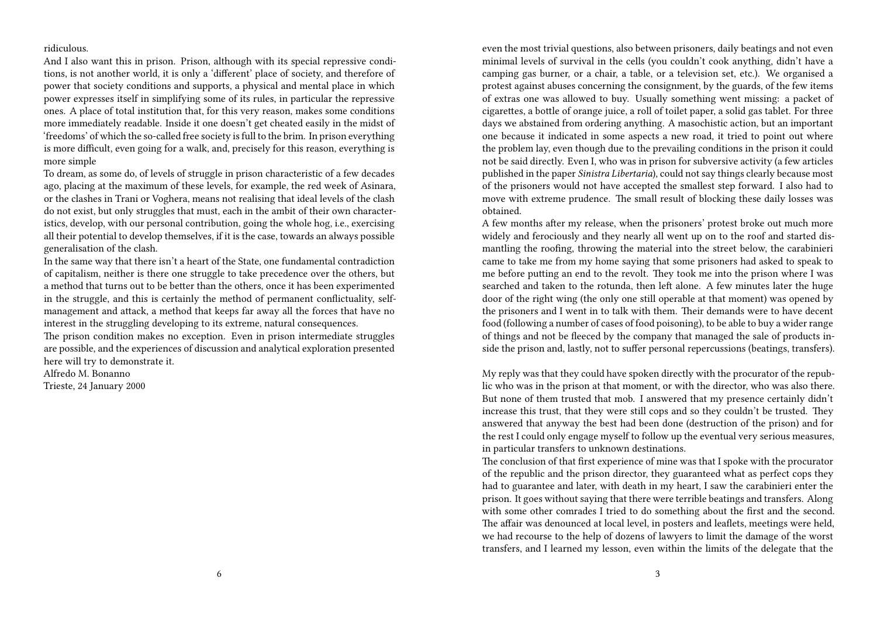## ridiculous.

And I also want this in prison. Prison, although with its special repressive conditions, is not another world, it is only a 'different' place of society, and therefore of power that society conditions and supports, a physical and mental place in which power expresses itself in simplifying some of its rules, in particular the repressive ones. A place of total institution that, for this very reason, makes some conditions more immediately readable. Inside it one doesn't get cheated easily in the midst of 'freedoms' of which the so-called free society is full to the brim. In prison everything is more difficult, even going for a walk, and, precisely for this reason, everything is more simple

To dream, as some do, of levels of struggle in prison characteristic of a few decades ago, placing at the maximum of these levels, for example, the red week of Asinara, or the clashes in Trani or Voghera, means not realising that ideal levels of the clash do not exist, but only struggles that must, each in the ambit of their own characteristics, develop, with our personal contribution, going the whole hog, i.e., exercising all their potential to develop themselves, if it is the case, towards an always possible generalisation of the clash.

In the same way that there isn't a heart of the State, one fundamental contradiction of capitalism, neither is there one struggle to take precedence over the others, but a method that turns out to be better than the others, once it has been experimented in the struggle, and this is certainly the method of permanent conflictuality, selfmanagement and attack, a method that keeps far away all the forces that have no interest in the struggling developing to its extreme, natural consequences.

The prison condition makes no exception. Even in prison intermediate struggles are possible, and the experiences of discussion and analytical exploration presented here will try to demonstrate it.

Alfredo M. Bonanno

Trieste, 24 January 2000

even the most trivial questions, also between prisoners, daily beatings and not even minimal levels of survival in the cells (you couldn't cook anything, didn't have a camping gas burner, or a chair, a table, or a television set, etc.). We organised a protest against abuses concerning the consignment, by the guards, of the few items of extras one was allowed to buy. Usually something went missing: a packet of cigarettes, a bottle of orange juice, a roll of toilet paper, a solid gas tablet. For three days we abstained from ordering anything. A masochistic action, but an important one because it indicated in some aspects a new road, it tried to point out where the problem lay, even though due to the prevailing conditions in the prison it could not be said directly. Even I, who was in prison for subversive activity (a few articles published in the paper *Sinistra Libertaria*), could not say things clearly because most of the prisoners would not have accepted the smallest step forward. I also had to move with extreme prudence. The small result of blocking these daily losses was obtained.

A few months after my release, when the prisoners' protest broke out much more widely and ferociously and they nearly all went up on to the roof and started dismantling the roofing, throwing the material into the street below, the carabinieri came to take me from my home saying that some prisoners had asked to speak to me before putting an end to the revolt. They took me into the prison where I was searched and taken to the rotunda, then left alone. A few minutes later the huge door of the right wing (the only one still operable at that moment) was opened by the prisoners and I went in to talk with them. Their demands were to have decent food (following a number of cases of food poisoning), to be able to buy a wider range of things and not be fleeced by the company that managed the sale of products inside the prison and, lastly, not to suffer personal repercussions (beatings, transfers).

My reply was that they could have spoken directly with the procurator of the republic who was in the prison at that moment, or with the director, who was also there. But none of them trusted that mob. I answered that my presence certainly didn't increase this trust, that they were still cops and so they couldn't be trusted. They answered that anyway the best had been done (destruction of the prison) and for the rest I could only engage myself to follow up the eventual very serious measures, in particular transfers to unknown destinations.

The conclusion of that first experience of mine was that I spoke with the procurator of the republic and the prison director, they guaranteed what as perfect cops they had to guarantee and later, with death in my heart, I saw the carabinieri enter the prison. It goes without saying that there were terrible beatings and transfers. Along with some other comrades I tried to do something about the first and the second. The affair was denounced at local level, in posters and leaflets, meetings were held, we had recourse to the help of dozens of lawyers to limit the damage of the worst transfers, and I learned my lesson, even within the limits of the delegate that the